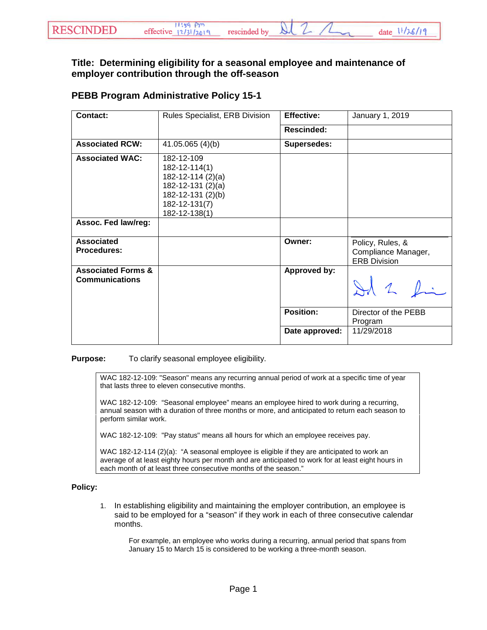## **Title: Determining eligibility for a seasonal employee and maintenance of employer contribution through the off-season**

## **PEBB Program Administrative Policy 15-1**

| Contact:                                               | Rules Specialist, ERB Division                                                                                               | <b>Effective:</b> | January 1, 2019                                                |
|--------------------------------------------------------|------------------------------------------------------------------------------------------------------------------------------|-------------------|----------------------------------------------------------------|
|                                                        |                                                                                                                              | <b>Rescinded:</b> |                                                                |
| <b>Associated RCW:</b>                                 | 41.05.065 (4)(b)                                                                                                             | Supersedes:       |                                                                |
| <b>Associated WAC:</b><br>Assoc. Fed law/reg:          | 182-12-109<br>182-12-114(1)<br>182-12-114 (2)(a)<br>182-12-131 (2)(a)<br>182-12-131 (2)(b)<br>182-12-131(7)<br>182-12-138(1) |                   |                                                                |
|                                                        |                                                                                                                              |                   |                                                                |
| <b>Associated</b><br><b>Procedures:</b>                |                                                                                                                              | Owner:            | Policy, Rules, &<br>Compliance Manager,<br><b>ERB Division</b> |
| <b>Associated Forms &amp;</b><br><b>Communications</b> |                                                                                                                              | Approved by:      | 12                                                             |
|                                                        |                                                                                                                              | <b>Position:</b>  | Director of the PEBB<br>Program                                |
|                                                        |                                                                                                                              | Date approved:    | 11/29/2018                                                     |

**Purpose:** To clarify seasonal employee eligibility.

WAC 182-12-109: "Season" means any recurring annual period of work at a specific time of year that lasts three to eleven consecutive months.

WAC 182-12-109: "Seasonal employee" means an employee hired to work during a recurring, annual season with a duration of three months or more, and anticipated to return each season to perform similar work.

WAC 182-12-109: "Pay status" means all hours for which an employee receives pay.

WAC 182-12-114 (2)(a): "A seasonal employee is eligible if they are anticipated to work an average of at least eighty hours per month and are anticipated to work for at least eight hours in each month of at least three consecutive months of the season."

## **Policy:**

1. In establishing eligibility and maintaining the employer contribution, an employee is said to be employed for a "season" if they work in each of three consecutive calendar months.

For example, an employee who works during a recurring, annual period that spans from January 15 to March 15 is considered to be working a three-month season.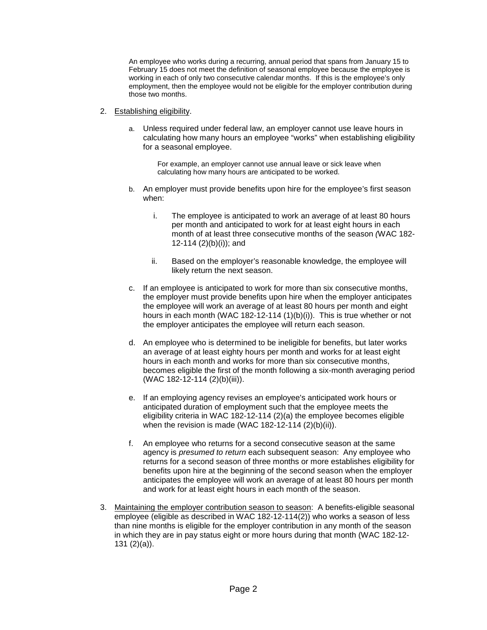An employee who works during a recurring, annual period that spans from January 15 to February 15 does not meet the definition of seasonal employee because the employee is working in each of only two consecutive calendar months. If this is the employee's only employment, then the employee would not be eligible for the employer contribution during those two months.

- 2. Establishing eligibility.
	- a. Unless required under federal law, an employer cannot use leave hours in calculating how many hours an employee "works" when establishing eligibility for a seasonal employee.

For example, an employer cannot use annual leave or sick leave when calculating how many hours are anticipated to be worked.

- b. An employer must provide benefits upon hire for the employee's first season when:
	- i. The employee is anticipated to work an average of at least 80 hours per month and anticipated to work for at least eight hours in each month of at least three consecutive months of the season *(*WAC 182- 12-114 (2)(b)(i)); and
	- ii. Based on the employer's reasonable knowledge, the employee will likely return the next season.
- c. If an employee is anticipated to work for more than six consecutive months, the employer must provide benefits upon hire when the employer anticipates the employee will work an average of at least 80 hours per month and eight hours in each month (WAC 182-12-114 (1)(b)(i)). This is true whether or not the employer anticipates the employee will return each season.
- d. An employee who is determined to be ineligible for benefits, but later works an average of at least eighty hours per month and works for at least eight hours in each month and works for more than six consecutive months, becomes eligible the first of the month following a six-month averaging period (WAC 182-12-114 (2)(b)(iii)).
- e. If an employing agency revises an employee's anticipated work hours or anticipated duration of employment such that the employee meets the eligibility criteria in WAC 182-12-114 (2)(a) the employee becomes eligible when the revision is made (WAC 182-12-114  $(2)(b)(ii)$ ).
- f. An employee who returns for a second consecutive season at the same agency is *presumed to return* each subsequent season: Any employee who returns for a second season of three months or more establishes eligibility for benefits upon hire at the beginning of the second season when the employer anticipates the employee will work an average of at least 80 hours per month and work for at least eight hours in each month of the season.
- 3. Maintaining the employer contribution season to season: A benefits-eligible seasonal employee (eligible as described in WAC 182-12-114(2)) who works a season of less than nine months is eligible for the employer contribution in any month of the season in which they are in pay status eight or more hours during that month (WAC 182-12- 131 (2)(a)).